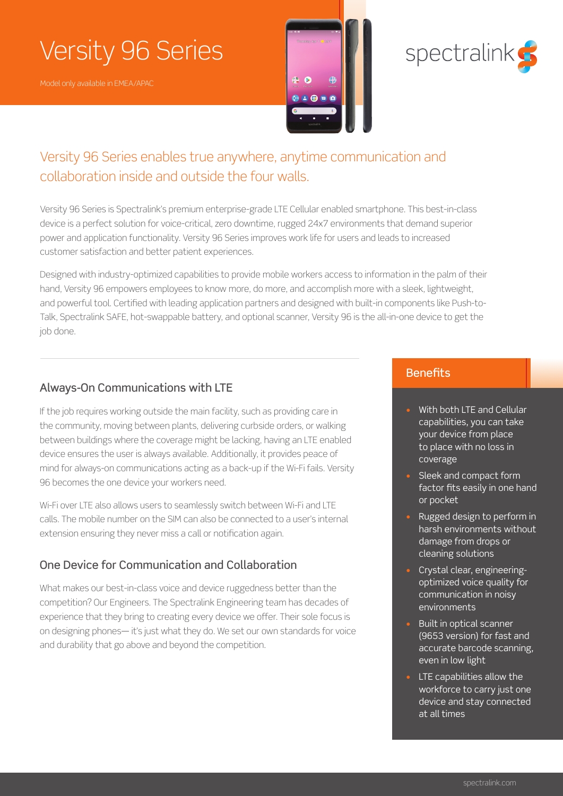# Versity 96 Series





## Versity 96 Series enables true anywhere, anytime communication and collaboration inside and outside the four walls.

Versity 96 Series is Spectralink's premium enterprise-grade LTE Cellular enabled smartphone. This best-in-class device is a perfect solution for voice-critical, zero downtime, rugged 24x7 environments that demand superior power and application functionality. Versity 96 Series improves work life for users and leads to increased customer satisfaction and better patient experiences.

Designed with industry-optimized capabilities to provide mobile workers access to information in the palm of their hand, Versity 96 empowers employees to know more, do more, and accomplish more with a sleek, lightweight, and powerful tool. Certified with leading application partners and designed with built-in components like Push-to-Talk, Spectralink SAFE, hot-swappable battery, and optional scanner, Versity 96 is the all-in-one device to get the job done.

### Always-On Communications with LTE

If the job requires working outside the main facility, such as providing care in the community, moving between plants, delivering curbside orders, or walking between buildings where the coverage might be lacking, having an LTE enabled device ensures the user is always available. Additionally, it provides peace of mind for always-on communications acting as a back-up if the Wi-Fi fails. Versity 96 becomes the one device your workers need.

Wi-Fi over LTE also allows users to seamlessly switch between Wi-Fi and LTE calls. The mobile number on the SIM can also be connected to a user's internal extension ensuring they never miss a call or notification again.

### One Device for Communication and Collaboration

What makes our best-in-class voice and device ruggedness better than the competition? Our Engineers. The Spectralink Engineering team has decades of experience that they bring to creating every device we offer. Their sole focus is on designing phones— it's just what they do. We set our own standards for voice and durability that go above and beyond the competition.

### **Benefits**

- With both LTE and Cellular capabilities, you can take your device from place to place with no loss in coverage
- Sleek and compact form factor fits easily in one hand or pocket
- Rugged design to perform in harsh environments without damage from drops or cleaning solutions
- Crystal clear, engineeringoptimized voice quality for communication in noisy environments
- Built in optical scanner (9653 version) for fast and accurate barcode scanning, even in low light
- LTE capabilities allow the workforce to carry just one device and stay connected at all times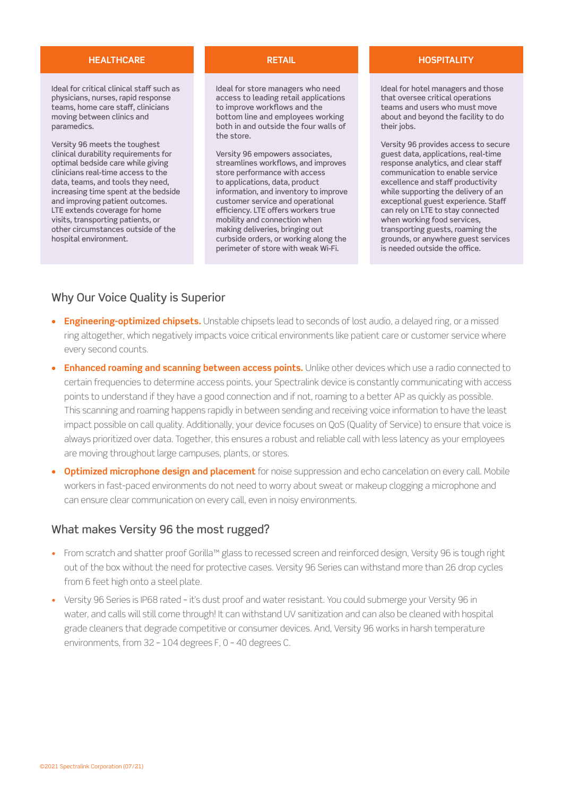#### **HEALTHCARE RETAIL HOSPITALITY**

Ideal for critical clinical staff such as physicians, nurses, rapid response teams, home care staff, clinicians moving between clinics and paramedics.

Versity 96 meets the toughest clinical durability requirements for optimal bedside care while giving clinicians real-time access to the data, teams, and tools they need, increasing time spent at the bedside and improving patient outcomes. LTE extends coverage for home visits, transporting patients, or other circumstances outside of the hospital environment.

Ideal for store managers who need access to leading retail applications to improve workflows and the bottom line and employees working both in and outside the four walls of the store.

Versity 96 empowers associates, streamlines workflows, and improves store performance with access to applications, data, product information, and inventory to improve customer service and operational efficiency. LTE offers workers true mobility and connection when making deliveries, bringing out curbside orders, or working along the perimeter of store with weak Wi-Fi.

Ideal for hotel managers and those that oversee critical operations teams and users who must move about and beyond the facility to do their jobs.

Versity 96 provides access to secure guest data, applications, real-time response analytics, and clear staff communication to enable service excellence and staff productivity while supporting the delivery of an exceptional guest experience. Staff can rely on LTE to stay connected when working food services, transporting guests, roaming the grounds, or anywhere guest services is needed outside the office.

### Why Our Voice Quality is Superior

- **• Engineering-optimized chipsets.** Unstable chipsets lead to seconds of lost audio, a delayed ring, or a missed ring altogether, which negatively impacts voice critical environments like patient care or customer service where every second counts.
- **• Enhanced roaming and scanning between access points.** Unlike other devices which use a radio connected to certain frequencies to determine access points, your Spectralink device is constantly communicating with access points to understand if they have a good connection and if not, roaming to a better AP as quickly as possible. This scanning and roaming happens rapidly in between sending and receiving voice information to have the least impact possible on call quality. Additionally, your device focuses on QoS (Quality of Service) to ensure that voice is always prioritized over data. Together, this ensures a robust and reliable call with less latency as your employees are moving throughout large campuses, plants, or stores.
- **• Optimized microphone design and placement** for noise suppression and echo cancelation on every call. Mobile workers in fast-paced environments do not need to worry about sweat or makeup clogging a microphone and can ensure clear communication on every call, even in noisy environments.

### What makes Versity 96 the most rugged?

- From scratch and shatter proof Gorilla™ glass to recessed screen and reinforced design, Versity 96 is tough right out of the box without the need for protective cases. Versity 96 Series can withstand more than 26 drop cycles from 6 feet high onto a steel plate.
- Versity 96 Series is IP68 rated it's dust proof and water resistant. You could submerge your Versity 96 in water, and calls will still come through! It can withstand UV sanitization and can also be cleaned with hospital grade cleaners that degrade competitive or consumer devices. And, Versity 96 works in harsh temperature environments, from 32 – 104 degrees F, 0 – 40 degrees C.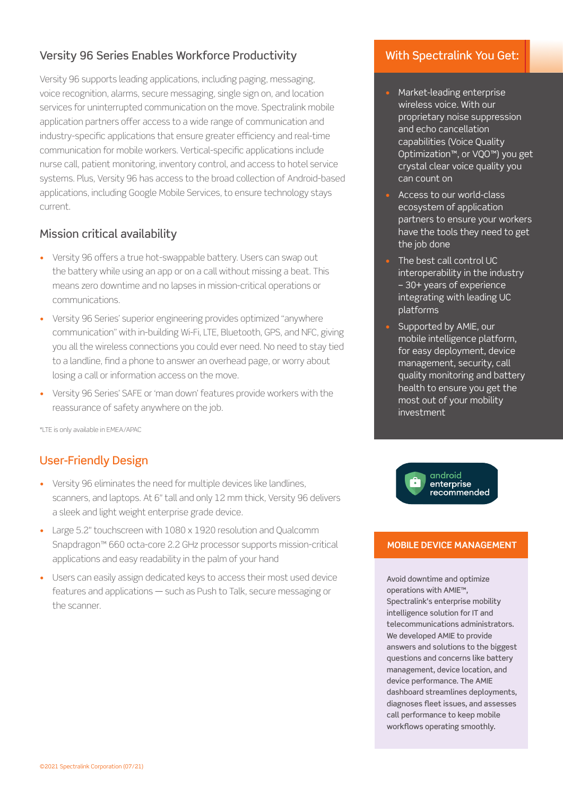### Versity 96 Series Enables Workforce Productivity

Versity 96 supports leading applications, including paging, messaging, voice recognition, alarms, secure messaging, single sign on, and location services for uninterrupted communication on the move. Spectralink mobile application partners offer access to a wide range of communication and industry-specific applications that ensure greater efficiency and real-time communication for mobile workers. Vertical-specific applications include nurse call, patient monitoring, inventory control, and access to hotel service systems. Plus, Versity 96 has access to the broad collection of Android-based applications, including Google Mobile Services, to ensure technology stays current.

### Mission critical availability

- Versity 96 offers a true hot-swappable battery. Users can swap out the battery while using an app or on a call without missing a beat. This means zero downtime and no lapses in mission-critical operations or communications.
- Versity 96 Series' superior engineering provides optimized "anywhere communication" with in-building Wi-Fi, LTE, Bluetooth, GPS, and NFC, giving you all the wireless connections you could ever need. No need to stay tied to a landline, find a phone to answer an overhead page, or worry about losing a call or information access on the move.
- Versity 96 Series' SAFE or 'man down' features provide workers with the reassurance of safety anywhere on the job.

\*LTE is only available in EMEA/APAC

### User-Friendly Design

- Versity 96 eliminates the need for multiple devices like landlines, scanners, and laptops. At 6" tall and only 12 mm thick, Versity 96 delivers a sleek and light weight enterprise grade device.
- Large 5.2" touchscreen with 1080 x 1920 resolution and Qualcomm Snapdragon™ 660 octa-core 2.2 GHz processor supports mission-critical applications and easy readability in the palm of your hand
- Users can easily assign dedicated keys to access their most used device features and applications — such as Push to Talk, secure messaging or the scanner.

### With Spectralink You Get:

- Market-leading enterprise wireless voice. With our proprietary noise suppression and echo cancellation capabilities (Voice Quality Optimization™, or VQO™) you get crystal clear voice quality you can count on
- Access to our world-class ecosystem of application partners to ensure your workers have the tools they need to get the job done
- The best call control UC interoperability in the industry – 30+ years of experience integrating with leading UC platforms
- Supported by AMIE, our mobile intelligence platform, for easy deployment, device management, security, call quality monitoring and battery health to ensure you get the most out of your mobility investment



### **MOBILE DEVICE MANAGEMENT**

Avoid downtime and optimize operations with AMIE™, Spectralink's enterprise mobility intelligence solution for IT and telecommunications administrators. We developed AMIE to provide answers and solutions to the biggest questions and concerns like battery management, device location, and device performance. The AMIE dashboard streamlines deployments, diagnoses fleet issues, and assesses call performance to keep mobile workflows operating smoothly.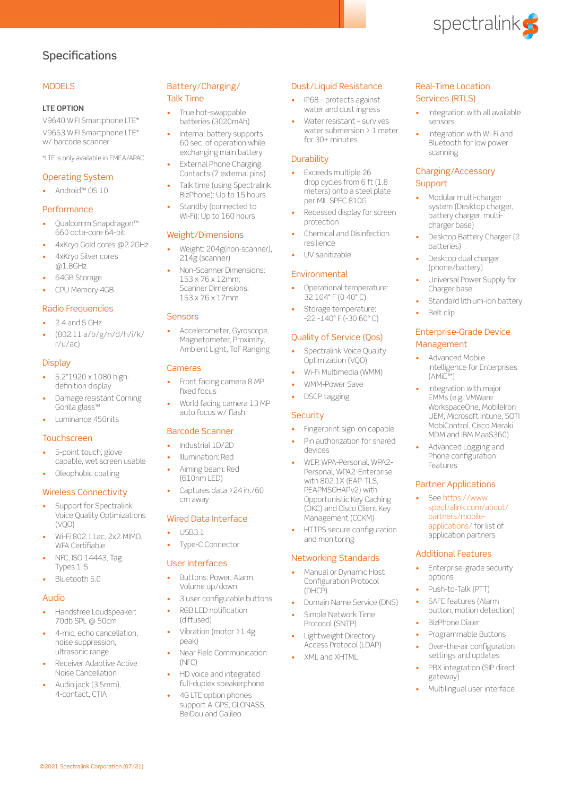

### **Specifications**

#### **MODELS**

#### **LTE OPTION**

V9640 WIFI Smartphone LTE\* V9653 WIFI Smartphone LTE\* w/ barcode scanner

\*LTE is only available in EMEA/APAC

#### Operating System

• Android™ OS 10

#### **Performance**

- Qualcomm Snapdragon™ 660 octa-core 64-bit
- 4xKryo Gold cores @2.2GHz • 4xKryo Silver cores
- @1.8GHz
- 64GB Storage
- CPU Memory 4GB

#### Radio Frequencies

- 2.4 and 5 GHz
- (802.11 a/b/g/n/d/h/i/k/ r/u/ac)

#### **Display**

- 5.2"1920 x 1080 highdefinition display
- Damage resistant Corning Gorilla glass™
- Luminance 450nits

#### **Touchscreen**

- 5-point touch, glove capable, wet screen usable
- Oleophobic coating

#### Wireless Connectivity

- Support for Spectralink Voice Quality Optimizations  $(N\cap \cap)$
- Wi-Fi 802.11ac, 2x2 MIMO, WFA Certifiable
- NFC, ISO 14443, Tag Types 1-5
- Bluetooth 5.0

#### Audio

- Handsfree Loudspeaker: 70db SPL @ 50cm
- 4-mic, echo cancellation, noise suppression, ultrasonic range
- Receiver Adaptive Active Noise Cancellation

©2021 Spectralink Corporation (07/21)

• Audio jack (3.5mm), 4-contact, CTIA

#### Battery/Charging/ Talk Time

- True hot-swappable batteries (3020mAh)
- Internal battery supports 60 sec. of operation while exchanging main battery
- **External Phone Charging** Contacts (7 external pins)
- Talk time (using Spectralink BizPhone): Up to 15 hours
- Standby (connected to Wi-Fi): Up to 160 hours

#### Weight/Dimensions

- Weight: 204g(non-scanner), 214g (scanner)
- Non-Scanner Dimensions: 153 x 76 x 12mm; Scanner Dimensions: 153 x 76 x 17mm

#### Sensors

• Accelerometer, Gyroscope, Magnetometer, Proximity, Ambient Light, ToF Ranging

#### Cameras

- Front facing camera 8 MP fixed focus
- World facing camera 13 MP auto focus w/ flash

#### Barcode Scanner

- Industrial 1D/2D
- Illumination: Red
- Aiming beam: Red (610nm LED)
- Captures data >24 in./60 cm away

#### Wired Data Interface

- USB3.1
- Type-C Connector

#### User Interfaces

- Buttons: Power, Alarm, Volume up/down
- 3 user configurable buttons
- RGB LED notification (diffused)
- Vibration (motor >1.4g peak)
- Near Field Communication (NFC)
- HD voice and integrated full-duplex speakerphone
- 4G LTE option phones support A-GPS, GLONASS, BeiDou and Galileo

#### Dust/Liquid Resistance

- IP68 protects against water and dust ingress
- Water resistant survives water submersion > 1 meter for 30+ minutes

#### **Durability**

- Exceeds multiple 26 drop cycles from 6 ft (1.8) meters) onto a steel plate per MIL SPEC 810G
- Recessed display for screen protection
- Chemical and Disinfection resilience
- UV sanitizable

#### Environmental

- Operational temperature: 32 104° F (0 40° C)
- Storage temperature: -22 -140° F (-30 60° C)

#### Quality of Service (Qos)

- Spectralink Voice Quality Optimization (VQO)
- Wi-Fi Multimedia (WMM)
- WMM-Power Save
- DSCP tagging

#### **Security**

- Fingerprint sign-on capable
- Pin authorization for shared devices
- WEP, WPA-Personal, WPA2- Personal, WPA2-Enterprise with 802.1X (EAP-TLS. PEAPMSCHAPv2) with Opportunistic Key Caching (OKC) and Cisco Client Key Management (CCKM)
- HTTPS secure configuration and monitoring

#### Networking Standards

- Manual or Dynamic Host Configuration Protocol (DHCP)
- Domain Name Service (DNS)
- Simple Network Time Protocol (SNTP)
- Lightweight Directory Access Protocol (LDAP)
- XML and XHTML

#### Real-Time Location Services (RTLS)

- Integration with all available sensors
- Integration with Wi-Fi and Bluetooth for low power scanning

#### Charging/Accessory **Support**

- Modular multi-charger system (Desktop charger, battery charger, multicharger base)
- Desktop Battery Charger (2 batteries)
- Desktop dual charger (phone/battery)

Belt clip

Management

(AMiE™)

Features

Partner Applications [See https://www.](https://www.spectralink.com/about/partners/mobile-applications/) [spectralink.com/about/](https://www.spectralink.com/about/partners/mobile-applications/) [partners/mobile](https://www.spectralink.com/about/partners/mobile-applications/)[applications/ for list of](https://www.spectralink.com/about/partners/mobile-applications/)  [application partners](https://www.spectralink.com/about/partners/mobile-applications/)

Additional Features

Push-to-Talk (PTT) SAFE features (Alarm button, motion detection)

• BizPhone Dialer • Programmable Buttons Over-the-air configuration settings and updates PBX integration (SIP direct,

gateway)

options

• Enterprise-grade security

• Multilingual user interface

- Universal Power Supply for Charger base
- Standard lithium-ion battery

Enterprise-Grade Device

Integration with major EMMs (e.g. VMWare WorkspaceOne, MobileIron UEM, Microsoft Intune, SOTI MobiControl, Cisco Meraki MDM and IBM MaaS360) • Advanced Logging and Phone configuration

• Advanced Mobile Intelligence for Enterprises